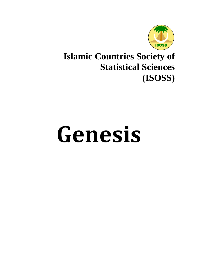

## **Islamic Countries Society of Statistical Sciences (ISOSS)**

# **Genesis**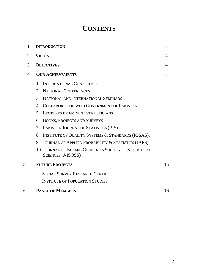### **CONTENTS**

| 1              | <b>INTRODUCTION</b>                                                                  | 3              |
|----------------|--------------------------------------------------------------------------------------|----------------|
| $\overline{2}$ | <b>VISION</b>                                                                        | 4              |
| 3              | <b>OBJECTIVES</b>                                                                    | $\overline{4}$ |
| 4              | <b>OUR ACHIEVEMENTS</b>                                                              | 5              |
|                | 1. INTERNATIONAL CONFERENCES                                                         |                |
|                | 2. NATIONAL CONFERENCES                                                              |                |
|                | NATIONAL AND INTERNATIONAL SEMINARS<br>3.                                            |                |
|                | COLLABORATION WITH GOVERNMENT OF PAKISTAN<br>4.                                      |                |
|                | 5 <sub>1</sub><br>LECTURES BY EMINENT STATISTICIANS                                  |                |
|                | <b>BOOKS, PROJECTS AND SURVEYS</b><br>6.                                             |                |
|                | 7. PAKISTAN JOURNAL OF STATISTICS (PJS).                                             |                |
|                | INSTITUTE OF QUALITY SYSTEMS & STANDARDS (IQSAS).<br>8.                              |                |
|                | JOURNAL OF APPLIED PROBABILITY & STATISTICS (JAPS).<br>9.                            |                |
|                | 10. JOURNAL OF ISLAMIC COUNTRIES SOCIETY OF STATISTICAL<br><b>SCIENCES (J-ISOSS)</b> |                |
| 5              | <b>FUTURE PROJECTS</b>                                                               |                |
|                | <b>SOCIAL SURVEY RESEARCH CENTRE</b>                                                 |                |
|                | <b>INSTITUTE OF POPULATION STUDIES</b>                                               |                |
| 6              | <b>PANEL OF MEMBERS</b>                                                              | 16             |
|                |                                                                                      |                |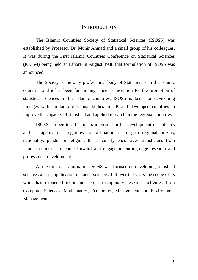#### **INTRODUCTION**

The Islamic Countries Society of Statistical Sciences (ISOSS) was established by Professor Dr. Munir Ahmad and a small group of his colleagues. It was during the First Islamic Countries Conference on Statistical Sciences (ICCS-I) being held at Lahore in August 1988 that formulation of ISOSS was announced.

The Society is the only professional body of Statisticians in the Islamic countries and it has been functioning since its inception for the promotion of statistical sciences in the Islamic countries. ISOSS is keen for developing linkages with similar professional bodies in UK and developed countries to improve the capacity of statistical and applied research in the regional countries.

ISOSS is open to all scholars interested in the development of statistics and its applications regardless of affiliation relating to regional origins, nationality, gender or religion. It particularly encourages statisticians from Islamic countries to come forward and engage in cutting-edge research and professional development

At the time of its formation ISOSS was focused on developing statistical sciences and its application in social sciences, but over the years the scope of its work has expanded to include cross disciplinary research activities from Computer Sciences, Mathematics, Economics, Management and Environment Management.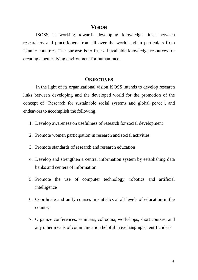#### **VISION**

ISOSS is working towards developing knowledge links between researchers and practitioners from all over the world and in particulars from Islamic countries. The purpose is to fuse all available knowledge resources for creating a better living environment for human race.

#### **OBJECTIVES**

In the light of its organizational vision ISOSS intends to develop research links between developing and the developed world for the promotion of the concept of "Research for sustainable social systems and global peace", and endeavors to accomplish the following.

- 1. Develop awareness on usefulness of research for social development
- 2. Promote women participation in research and social activities
- 3. Promote standards of research and research education
- 4. Develop and strengthen a central information system by establishing data banks and centers of information
- 5. Promote the use of computer technology, robotics and artificial intelligence
- 6. Coordinate and unify courses in statistics at all levels of education in the country
- 7. Organize conferences, seminars, colloquia, workshops, short courses, and any other means of communication helpful in exchanging scientific ideas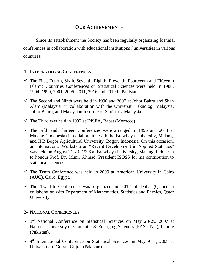#### **OUR ACHIEVEMENTS**

Since its establishment the Society has been regularly organizing biennial conferences in collaboration with educational institutions / universities in various countries:

#### **1- INTERNATIONAL CONFERENCES**

- $\checkmark$  The First, Fourth, Sixth, Seventh, Eighth, Eleventh, Fourteenth and Fifteenth Islamic Countries Conferences on Statistical Sciences were held in 1988, 1994, 1999, 2001, 2005, 2011, 2016 and 2019 in Pakistan.
- $\checkmark$  The Second and Ninth were held in 1990 and 2007 at Johor Bahru and Shah Alam (Malaysia) in collaboration with the Universiti Teknologi Malaysia, Johor Bahru, and Malaysian Institute of Statistics, Malaysia.
- $\checkmark$  The Third was held in 1992 at INSEA, Rabat (Morocco).
- $\checkmark$  The Fifth and Thirteen Conferences were arranged in 1996 and 2014 at Malang (Indonesia) in collaboration with the Brawijaya University, Malang, and IPB Bogor Agricultural University, Bogor, Indonesia. On this occasion, an International Workshop on "Recent Development in Applied Statistics" was held on August 21-23, 1996 at Brawijaya University, Malang, Indonesia to honour Prof. Dr. Munir Ahmad, President ISOSS for his contribution to statistical sciences.
- $\checkmark$  The Tenth Conference was held in 2009 at [American University in Cairo](http://www.aucegypt.edu/) (AUC), Cairo, Egypt.
- $\checkmark$  The Twelfth Conference was organized in 2012 at Doha (Qatar) in collaboration with Department of Mathematics, Statistics and Physics, Qatar University.

#### **2- NATIONAL CONFERENCES**

- $\checkmark$  3<sup>rd</sup> National Conference on Statistical Sciences on May 28-29, 2007 at National University of Computer & Emerging Sciences (FAST-NU), Lahore (Pakistan).
- 4 th International Conference on Statistical Sciences on May 9-11, 2008 at University of Gujrat, Gujrat (Pakistan).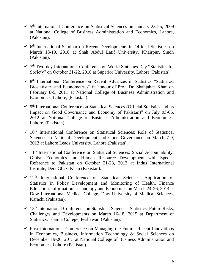- 5 th International Conference on Statistical Sciences on January 23-25, 2009 at National College of Business Administration and Economics, Lahore, (Pakistan).
- 6 th International Seminar on Recent Developments in Official Statistics on March 18-19, 2010 at Shah Abdul Latif University, Khairpur, Sindh (Pakistan).
- 7 th Two-day International Conference on World Statistics Day "Statistics for Society" on October 21-22, 2010 at Superior University, Lahore (Pakistan).
- $\checkmark$  8<sup>th</sup> International Conference on Recent Advances in Statistics "Statistics, Biostatistics and Econometrics" in honour of Prof. Dr. Shahjahan Khan on February 8-9, 2011 at National College of Business Administration and Economics, Lahore, (Pakistan).
- $\checkmark$  9<sup>th</sup> International Conference on Statistical Sciences (Official Statistics and its Impact on Good Governance and Economy of Pakistan)" on July 05-06, 2012 at National College of Business Administration and Economics, Lahore, (Pakistan).
- $\checkmark$  10<sup>th</sup> International Conference on Statistical Sciences: Role of Statistical Sciences in National Development and Good Governance on March 7-9, 2013 at Lahore Leads University, Lahore (Pakistan).
- $\checkmark$  11<sup>th</sup> International Conference on Statistical Sciences: Social Accountability, Global Economics and Human Resource Development with Special Reference to Pakistan on October 21-23, 2013 at Indus International Institute, Dera Ghazi Khan (Pakistan).
- $\checkmark$  12<sup>th</sup> International Conference on Statistical Sciences: Application of Statistics in Policy Development and Monitoring of Health, Finance Education, Information Technology and Economics on March 24-26, 2014 at Dow International Medical College, Dow University of Medical Sciences, Karachi (Pakistan).
- $\checkmark$  13<sup>th</sup> International Conference on Statistical Sciences: Statistics: Future Risks, Challenges and Developments on March 16-18, 2015 at Department of Statistics, Islamia College, Peshawar, (Pakistan).
- $\checkmark$  First International Conference on Managing the Future: Recent Innovations in Economics, Business, Information Technology & Social Sciences on December 19-20, 2015 at National College of Business Administration and Economics, Lahore (Pakistan).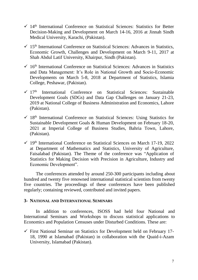- $\checkmark$  14<sup>th</sup> International Conference on Statistical Sciences: Statistics for Better Decision-Making and Development on March 14-16, 2016 at Jinnah Sindh Medical University, Karachi, (Pakistan).
- $\checkmark$  15<sup>th</sup> International Conference on Statistical Sciences: Advances in Statistics, Economic Growth, Challenges and Development on March 9-11, 2017 at Shah Abdul Latif University, Khairpur, Sindh (Pakistan).
- $\checkmark$  16<sup>th</sup> International Conference on Statistical Sciences: Advances in Statistics and Data Management: It's Role in National Growth and Socio-Economic Developments on March 5-8, 2018 at Department of Statistics, Islamia College, Peshawar, (Pakistan).
- $\checkmark$  17<sup>th</sup> International Conference on Statistical Sciences: Sustainable Development Goals (SDGs) and Data Gap Challenges on January 21-23, 2019 at National College of Business Administration and Economics, Lahore (Pakistan).
- $\checkmark$  18<sup>th</sup> International Conference on Statistical Sciences: Using Statistics for Sustainable Development Goals & Human Development on February 18-20, 2021 at Imperial College of Business Studies, Bahria Town, Lahore, (Pakistan).
- 19 th International Conference on Statistical Sciences on March 17-19, 2022 at Department of Mathematics and Statistics, University of Agriculture, Faisalabad (Pakistan). The Theme of the conference was "Application of Statistics for Making Decision with Precision in Agriculture, Industry and Economic Development".

The conferences attended by around 250-300 participants including about hundred and twenty five renowned international statistical scientists from twenty five countries. The proceedings of these conferences have been published regularly; containing reviewed, contributed and invited papers.

#### **3- NATIONAL AND INTERNATIONAL SEMINARS**

In addition to conferences, ISOSS had held four National and International Seminars and Workshops to discuss statistical applications to Economics and Population Censuses under Disturbed Conditions. These are:

 $\checkmark$  First National Seminar on Statistics for Development held on February 17-18, 1990 at Islamabad (Pakistan) in collaboration with the Quaid-i-Azam University, Islamabad (Pakistan).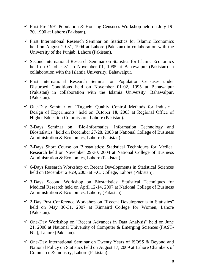- $\checkmark$  First Pre-1991 Population & Housing Censuses Workshop held on July 19-20, 1990 at Lahore (Pakistan).
- $\checkmark$  First International Research Seminar on Statistics for Islamic Economics held on August 29-31, 1994 at Lahore (Pakistan) in collaboration with the University of the Punjab, Lahore (Pakistan).
- $\checkmark$  Second International Research Seminar on Statistics for Islamic Economics held on October 31 to November 01, 1995 at Bahawalpur (Pakistan) in collaboration with the Islamia University, Bahawalpur.
- $\checkmark$  First International Research Seminar on Population Censuses under Disturbed Conditions held on November 01-02, 1995 at Bahawalpur (Pakistan) in collaboration with the Islamia University, Bahawalpur, (Pakistan).
- $\checkmark$  One-Day Seminar on "Taguchi Quality Control Methods for Industrial Design of Experiments" held on October 18, 2003 at Regional Office of Higher Education Commission, Lahore (Pakistan).
- $\checkmark$  2-Days Seminar on "Bio-Informatics, Information Technology and Biostatistics" held on December 27-28, 2003 at National College of Business Administration & Economics, Lahore (Pakistan).
- $\checkmark$  2-Days Short Course on Biostatistics: Statistical Techniques for Medical Research held on November 29-30, 2004 at National College of Business Administration & Economics, Lahore (Pakistan).
- $6$ -Days Research Workshop on Recent Developments in Statistical Sciences held on December 23-29, 2005 at F.C. College, Lahore (Pakistan).
- $\checkmark$  3-Days Second Workshop on Biostatistics: Statistical Techniques for Medical Research held on April 12-14, 2007 at National College of Business Administration & Economics, Lahore, (Pakistan).
- $\checkmark$  2-Day Post-Conference Workshop on "Recent Developments in Statistics" held on May 30-31, 2007 at Kinnaird College for Women, Lahore (Pakistan).
- $\checkmark$  One-Day Workshop on "Recent Advances in Data Analysis" held on June 21, 2008 at National University of Computer & Emerging Sciences (FAST-NU), Lahore (Pakistan).
- $\checkmark$  One-Day International Seminar on Twenty Years of ISOSS & Beyond and National Policy on Statistics held on August 17, 2009 at Lahore Chambers of Commerce & Industry, Lahore (Pakistan).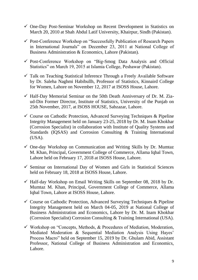- $\checkmark$  One-Day Post-Seminar Workshop on Recent Development in Statistics on March 20, 2010 at Shah Abdul Latif University, Khairpur, Sindh (Pakistan).
- $\checkmark$  Post-Conference Workshop on "Successfully Publication of Research Papers in International Journals" on December 23, 2011 at National College of Business Administration & Economics, Lahore (Pakistan).
- $\checkmark$  Post-Conference Workshop on "Big-Smog Data Analysis and Official Statistics" on March 19, 2015 at Islamia College, Peshawar (Pakistan).
- $\checkmark$  Talk on Teaching Statistical Inference Through a Freely Available Software by Dr. Saleha Naghmi Habibullh, Professor of Statistics, Kinnaird College for Women, Lahore on November 12, 2017 at ISOSS House, Lahore.
- $\checkmark$  Half-Day Memorial Seminar on the 50th Death Anniversary of Dr. M. Ziaud-Din Former Director, Institute of Statistics, University of the Punjab on 25th November, 2017, at ISOSS HOUSE, Sabzazar, Lahore.
- $\checkmark$  Course on Cathodic Protection, Advanced Surveying Techniques & Pipeline Integrity Management held on January 23-25, 2018 by Dr. M. Inam Khokhar (Corrosion Specialist) in collaboration with Institute of Quality Systems and Standards (IQSAS) and Corrosion Consulting & Training International (USA).
- $\checkmark$  One-day Workshop on Communication and Writing Skills by Dr. Mumtaz M. Khan, Principal, Government College of Commerce, Allama Iqbal Town, Lahore held on February 17, 2018 at ISOSS House, Lahore.
- $\checkmark$  Seminar on International Day of Women and Girls in Statistical Sciences held on February 18, 2018 at ISOSS House, Lahore.
- $\checkmark$  Half-day Workshop on Email Writing Skills on September 08, 2018 by Dr. Mumtaz M. Khan, Principal, Government College of Commerce, Allama Iqbal Town, Lahore at ISOSS House, Lahore.
- $\checkmark$  Course on Cathodic Protection, Advanced Surveying Techniques & Pipeline Integrity Management held on March 04-05, 2019 at National College of Business Administration and Economics, Lahore by Dr. M. Inam Khokhar (Corrosion Specialist) Corrosion Consulting & Training International (USA).
- $\checkmark$  Workshop on "Concepts, Methods, & Procedures of Mediation, Moderation, Mediated Moderation & Sequential Mediation Analysis Using Hayes' Process Macro" held on September 15, 2019 by Dr. Ghulam Abid, Assistant Professor, National College of Business Administration and Economics, Lahore.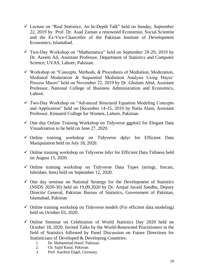- $\checkmark$  Lecture on "Real Statistics: An In-Depth Talk" held on Sunday, September 22, 2019 by Prof. Dr. Asad Zaman a renowned Economist, Social Scientist and the Ex-Vice-Chancellor of the Pakistan Institute of Development Economics, Islamabad.
- $\checkmark$  Two-Day Workshop on "Mathematica" held on September 28-29, 2019 by Dr. Azeem Ali, Assistant Professor, Department of Statistics and Computer Science, UVAS, Lahore, Pakistan.
- $\checkmark$  Workshop on "Concepts, Methods, & Procedures of Mediation, Moderation, Mediated Moderation & Sequential Mediation Analysis Using Hayes' Process Macro" held on November 22, 2019 by Dr. Ghulam Abid, Assistant Professor, National College of Business Administration and Economics, Lahore.
- Two-Day Workshop on "Advanced Structural Equation Modeling Concepts and Application" held on December 14-15, 2019 by Naila Alam, Assistant Professor, Kinnaird College for Women, Lahore, Pakistan.
- $\checkmark$  One day Online Training Workshop on Tidyverse ggplot2 for Elegant Data Visualization to be held on June 27, 2020.
- $\checkmark$  Online training workshop on Tidyverse dplyr for Efficient Data Manipulation held on July 18, 2020.
- $\checkmark$  Online training workshop on Tidyverse tidyr for Efficient Data Tidiness held on August 15, 2020.
- $\checkmark$  Online training workshop on Tidyverse Data Types (stringr, forcats, lubridate, hms) held on September 12, 2020.
- $\checkmark$  One day seminar on National Strategy for the Development of Statistics (NSDS 2020-30) held on 19.09.2020 by Dr. Amjad Javaid Sandhu, Deputy Director General, Pakistan Bureau of Statistics, Government of Pakistan, Islamabad, Pakistan
- $\checkmark$  Online training workshop on Tidyverse modelr (For efficient data modeling) held on October 03, 2020.
- $\checkmark$  Online Seminar on Celebration of World Statistics Day 2020 held on October 18, 2020. Invited Talks by the World-Renowned Practitioners in the field of Statistics followed by Panel Discussion on Future Directions for Statisticians of Developed & Developing Countries:
	- 1. Dr. Muhammad Hanif, Pakistan.
	- 2. Ch. Sajid Rasul, Pakistan.
	- 3. Prof. Joachim Engel, Germany.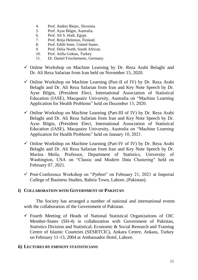- 4. Prof. Andrej Blejec, Slovenia.
- 5. Prof. Ayse Bilgin, Australia.
- 6. Prof. Ali S. Hadi, Egypt.
- 7. Prof. Reija Helenius, Finland.
- 8. Prof. Edith Seier, United States.
- 9. Prof. Delia North, South African.
- 10. Prof. Atilla Goktas, Turkey.
- 11. Dr. Daniel Frischemeier, Germany.
- $\checkmark$  Online Workshop on Machine Learning by Dr. Reza Arabi Belaghi and Dr. Ali Reza Safarian from Iran held on November 15, 2020.
- $\checkmark$  Online Workshop on Machine Learning (Part-II of IV) by Dr. Reza Arabi Belaghi and Dr. Ali Reza Safarian from Iran and Key Note Speech by Dr. Ayse Bilgin, (President Elect, International Association of Statistical Education (IASE), Macquaire University, Australia on "Machine Learning Application for Health Problems" held on December 13, 2020.
- $\checkmark$  Online Workshop on Machine Learning (Part-III of IV) by Dr. Reza Arabi Belaghi and Dr. Ali Reza Safarian from Iran and Key Note Speech by Dr. Ayse Bilgin, (President Elect, International Association of Statistical Education (IASE), Macquaire University, Australia on "Machine Learning Application for Health Problems" held on January 10, 2021.
- $\checkmark$  Online Workshop on Machine Learning (Part-IV of IV) by Dr. Reza Arabi Belaghi and Dr. Ali Reza Safarian from Iran and Key Note Speech by Dr. Marina Meila, Professor, Department of Statistics, University of Washington, USA on "Classic and Modern Data Clustering" held on February 07, 2021.
- Post-Conference Workshop on "*Python*" on February 21, 2021 at Imperial College of Business Studies, Bahria Town, Lahore, (Pakistan).

#### **i) COLLABORATION WITH GOVERNMENT OF PAKISTAN**

The Society has arranged a number of national and international events with the collaboration of the Government of Pakistan.

 $\checkmark$  Fourth Meeting of Heads of National Statistical Organizations of OIC Member-States (SH-4) in collaboration with Government of Pakistan, Statistics Division and Statistical, Economic & Social Research and Training Centre of Islamic Countries (SESRTCIC), Ankara Centre, Ankara, Turkey on February 11-13, 2004 at Ambassador Hotel, Lahore.

#### **ii) LECTURES BY EMINENT STATISTICIANS**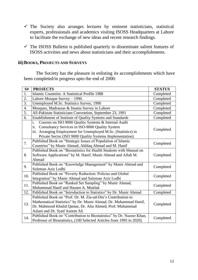- $\checkmark$  The Society also arranges lectures by eminent statisticians, statistical experts, professionals and academics visiting ISOSS Headquarters at Lahore to facilitate the exchange of new ideas and recent research findings.
- $\checkmark$  The ISOSS Bulletin is published quarterly to disseminate salient features of ISOSS activities and news about statisticians and their accomplishments.

#### **iii)BOOKS, PROJECTS AND SURVEYS**

The Society has the pleasure in enlisting its accomplishments which have been completed/in progress upto the end of 2000:

| S#               | <b>PROJECTS</b>                                                                                                                                                                                                              | <b>STATUS</b> |  |
|------------------|------------------------------------------------------------------------------------------------------------------------------------------------------------------------------------------------------------------------------|---------------|--|
| 1.               | <b>Islamic Countries: A Statistical Profile 1988</b>                                                                                                                                                                         | Completed     |  |
| $\overline{2}$ . | Lahore Mosque Survey - 1990.                                                                                                                                                                                                 | Completed     |  |
| 3.               | Unemployed M.Sc. Statistics Survey, 1990                                                                                                                                                                                     | Completed     |  |
| 4.               | Mosques, Madrassas & Imams Survey in Lahore                                                                                                                                                                                  | Completed     |  |
| $\overline{5}$ . | All-Pakistan Statisticians Convention, September 23, 1991                                                                                                                                                                    | Completed     |  |
| 6.               | Establishment of Institute of Quality Systems and Standards                                                                                                                                                                  | Completed     |  |
|                  | Courses on ISO 9000 Quality Systems & Internal Audit<br>i.<br>Consultancy Services in ISO-9000 Quality System<br>ii.                                                                                                         |               |  |
|                  | iii. Arranging Employment for Unemployed M.Sc. (Statistics) in<br>Private Sector (ISO 9000 Quality Systems Implementation)                                                                                                   | Completed     |  |
| 7.               | Published Book on "Strategic Issues of Population of Islamic<br>Countries" by Munir Ahmad, Akhlaq Ahmad and M. Hanif                                                                                                         | Completed     |  |
| 8.               | Published Book on "Biostatistics for Health Students with Manual on<br>Software Applications" by M. Hanif, Munir Ahmad and Aftab M.<br>Ahmad                                                                                 | Completed     |  |
| 9.               | Published Book on "Knowledge Management" by Munir Ahmad and<br>Suleman Aziz Lodhi                                                                                                                                            | Completed     |  |
| 10.              | Published Book on "Poverty Reduction: Policies and Global<br>Integration" by Munir Ahmad and Suleman Aziz Lodhi                                                                                                              | Completed     |  |
| 11.              | Published Book on "Ranked Set Sampling" by Munir Ahmad,<br>Muhammad Hanif and Hassen A. Muttlak                                                                                                                              | Completed     |  |
| 12.              | Published Book on "Introduction to Statistics" by Dr. Munir Ahmad                                                                                                                                                            | Completed     |  |
| 13.              | Published Book on "Prof. Dr. M. Zia-ud-Din's Contribution to<br>Mathematical Statistics" by Dr. Munir Ahmad, Dr. Muhammad Hanif,<br>Dr. Mahmood Khalid Qamar, Dr. Alia Ahmed, Prof. Muhammad<br>Aslam and Dr. Syed Azeem Ali | Completed     |  |
| 14.              | Published Book on "Contribution to Biostatistics" by Dr. Nazeer Khan,<br>Professor of Biostatistics, (100 Selected Articles from 1995 to 2020)                                                                               | Completed     |  |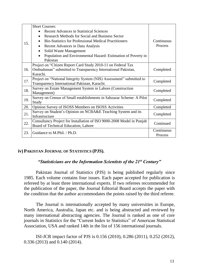|     | <b>Short Courses:</b>                                                 |            |  |
|-----|-----------------------------------------------------------------------|------------|--|
| 15. | <b>Recent Advances in Statistical Sciences</b>                        |            |  |
|     | <b>Research Methods for Social and Business Sector</b><br>$\bullet$   | Continuous |  |
|     | <b>Bio-Statistics for Professional Medical Practitioners</b>          |            |  |
|     | Recent Advances in Data Analysis<br>$\bullet$                         | Process    |  |
|     | Solid Waste Management                                                |            |  |
|     | Population and Environmental Hazard: Estimation of Poverty in         |            |  |
|     | Pakistan                                                              |            |  |
| 16. | Project on "Citizen Report Card Study 2010-11 on Federal Tax          |            |  |
|     | Ombudsman" submitted to Transparency International Pakistan,          | Completed  |  |
|     | Karachi.                                                              |            |  |
| 17. | Project on "National Integrity System (NIS) Assessment" submitted to  | Completed  |  |
|     | Transparency International Pakistan, Karachi.                         |            |  |
| 18. | Survey on Estate Management System in Lahore (Construction            | Completed  |  |
|     | Management)                                                           |            |  |
| 19. | Survey on Census of Small establishments in Sabzazar Scheme: A Pilot  | Completed  |  |
|     | Study                                                                 |            |  |
| 20. | Opinion Survey of ISOSS Members on ISOSS Activities<br>Completed      |            |  |
| 21. | Survey on Student's Opinion on NCBA&E Teaching System and its         | Completed  |  |
|     | Infrastructure                                                        |            |  |
| 22. | Consultancy Project for Installation of ISO 9000-2008 Model in Punjab | Continued  |  |
|     | Board of Technical Education, Lahore                                  |            |  |
| 23. | Guidance to M.Phil. / Ph.D.                                           | Continuous |  |
|     |                                                                       | Process    |  |

#### **iv) PAKISTAN JOURNAL OF STATISTICS (PJS).**

#### *"Statisticians are the Information Scientists of the 21st Century"*

Pakistan Journal of Statistics (PJS) is being published regularly since 1985. Each volume contains four issues. Each paper accepted for publication is refereed by at least three international experts. If two referees recommended for the publication of the paper, the Journal Editorial Board accepts the paper with the condition that the author accommodates the points raised by the third referee.

The Journal is internationally accepted by many universities in Europe, North America, Australia, Japan etc. and is being abstracted and reviewed by many international abstracting agencies. The Journal is ranked as one of core journals in Statistics for the "Current Index to Statistics" of American Statistical Association, USA and ranked 14th in the list of 156 international journals.

ISI-JCR impact factor of PJS is 0.156 (2010), 0.286 (2011), 0.252 (2012), 0.336 (2013) and 0.140 (2014).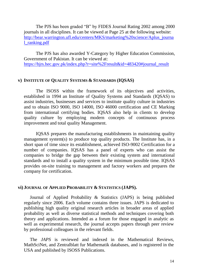The PJS has been graded "B" by FIDES Journal Rating 2002 among 2000 journals in all disciplines. It can be viewed at Page 25 at the following website: [http://bear.warrington.ufl.edu/centers/MKS/marketing%20science/Aplus\\_journa](http://bear.warrington.ufl.edu/centers/MKS/marketing%20science/Aplus_journal_ranking.pdf) [l\\_ranking.pdf](http://bear.warrington.ufl.edu/centers/MKS/marketing%20science/Aplus_journal_ranking.pdf)

The PJS has also awarded Y-Category by Higher Education Commission, Government of Pakistan. It can be viewed at: [https://hjrs.hec.gov.pk/index.php?r=site%2Fresult&id=483420#journal\\_result](https://hjrs.hec.gov.pk/index.php?r=site%2Fresult&id=483420#journal_result)

#### **v) INSTITUTE OF QUALITY SYSTEMS & STANDARDS (IQSAS)**

The ISOSS within the framework of its objectives and activities, established in 1994 an Institute of Quality Systems and Standards (IQSAS) to assist industries, businesses and services to institute quality culture in industries and to obtain ISO 9000, ISO 14000, ISO 46000 certification and CE Marking from international certifying bodies. IQSAS also help in clients to develop quality culture by employing modern concepts of continuous process improvement and total quality Management.

IQSAS prepares the manufacturing establishments in maintaining quality management system(s) to produce top quality products. The Institute has, in a short span of time since its establishment, achieved ISO-9002 Certification for a number of companies. IQSAS has a panel of experts who can assist the companies to bridge the gap between their existing system and international standards and to install a quality system in the minimum possible time. IQSAS provides on-site training to management and factory workers and prepares the company for certification.

#### **vi) JOURNAL OF APPLIED PROBABILITY & STATISTICS (JAPS).**

Journal of Applied Probability & Statistics (JAPS) is being published regularly since 2006. Each volume contains three issues. JAPS is dedicated to publishing high quality original research articles in broader areas of applied probability as well as diverse statistical methods and techniques covering both theory and applications. Intended as a forum for those engaged in analytic as well as experimental research, the journal accepts papers through peer review by professional colleagues in the relevant fields.

The *JAPS* is reviewed and indexed in the Mathematical Reviews, MathSciNet, and Zentralblatt fur Mathematik databases, and is registered in the USA and published by ISOSS Publications.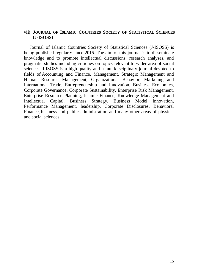#### **vii) JOURNAL OF ISLAMIC COUNTRIES SOCIETY OF STATISTICAL SCIENCES (J-ISOSS)**

Journal of Islamic Countries Society of Statistical Sciences (J-ISOSS) is being published regularly since 2015. The aim of this journal is to disseminate knowledge and to promote intellectual discussions, research analyses, and pragmatic studies including critiques on topics relevant to wider area of social sciences. J-ISOSS is a high-quality and a multidisciplinary journal devoted to fields of Accounting and Finance, Management, Strategic Management and Human Resource Management, Organizational Behavior, Marketing and International Trade, Entrepreneurship and Innovation, Business Economics, Corporate Governance, Corporate Sustainability, Enterprise Risk Management, Enterprise Resource Planning, Islamic Finance, Knowledge Management and Intellectual Capital, Business Strategy, Business Model Innovation, Performance Management, leadership, Corporate Disclosures, Behavioral Finance, business and public administration and many other areas of physical and social sciences.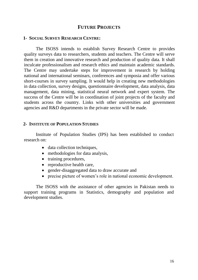#### **FUTURE PROJECTS**

#### **1- SOCIAL SURVEY RESEARCH CENTRE:**

The ISOSS intends to establish Survey Research Centre to provides quality surveys data to researchers, students and teachers. The Centre will serve them in creation and innovative research and production of quality data. It shall inculcate professionalism and research ethics and maintain academic standards. The Centre may undertake steps for improvement in research by holding national and international seminars, conferences and symposia and offer various short-courses in survey sampling. It would help in creating new methodologies in data collection, survey designs, questionnaire development, data analysis, data management, data mining, statistical neural network and expert system. The success of the Centre will be in coordination of joint projects of the faculty and students across the country. Links with other universities and government agencies and R&D departments in the private sector will be made.

#### **2- INSTITUTE OF POPULATION STUDIES**

Institute of Population Studies (IPS) has been established to conduct research on:

- data collection techniques,
- methodologies for data analysis,
- training procedures,
- reproductive health care,
- gender-disaggregated data to draw accurate and
- precise picture of women's role in national economic development.

The ISOSS with the assistance of other agencies in Pakistan needs to support training programs in Statistics, demography and population and development studies.